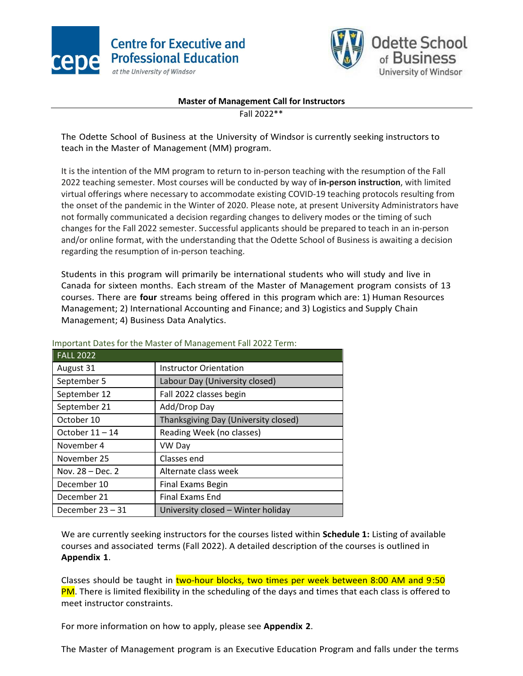



## **Master of Management Call for Instructors**

Fall 2022\*\*

The Odette School of Business at the University of Windsor is currently seeking instructors to teach in the Master of Management (MM) program.

It is the intention of the MM program to return to in-person teaching with the resumption of the Fall 2022 teaching semester. Most courses will be conducted by way of **in-person instruction**, with limited virtual offerings where necessary to accommodate existing COVID-19 teaching protocols resulting from the onset of the pandemic in the Winter of 2020. Please note, at present University Administrators have not formally communicated a decision regarding changes to delivery modes or the timing of such changes for the Fall 2022 semester. Successful applicants should be prepared to teach in an in-person and/or online format, with the understanding that the Odette School of Business is awaiting a decision regarding the resumption of in-person teaching.

Students in this program will primarily be international students who will study and live in Canada for sixteen months. Each stream of the Master of Management program consists of 13 courses. There are **four** streams being offered in this program which are: 1) Human Resources Management; 2) International Accounting and Finance; and 3) Logistics and Supply Chain Management; 4) Business Data Analytics.

| <b>FALL 2022</b> |                                      |
|------------------|--------------------------------------|
| August 31        | <b>Instructor Orientation</b>        |
| September 5      | Labour Day (University closed)       |
| September 12     | Fall 2022 classes begin              |
| September 21     | Add/Drop Day                         |
| October 10       | Thanksgiving Day (University closed) |
| October 11 - 14  | Reading Week (no classes)            |
| November 4       | VW Day                               |
| November 25      | Classes end                          |
| Nov. 28 - Dec. 2 | Alternate class week                 |
| December 10      | <b>Final Exams Begin</b>             |
| December 21      | <b>Final Exams End</b>               |
| December 23-31   | University closed - Winter holiday   |

Important Dates for the Master of Management Fall 2022 Term:

We are currently seeking instructors for the courses listed within **Schedule 1:** Listing of available courses and associated terms (Fall 2022). A detailed description of the courses is outlined in **Appendix 1**.

Classes should be taught in two-hour blocks, two times per week between 8:00 AM and 9:50 PM. There is limited flexibility in the scheduling of the days and times that each class is offered to meet instructor constraints.

For more information on how to apply, please see **Appendix 2**.

The Master of Management program is an Executive Education Program and falls under the terms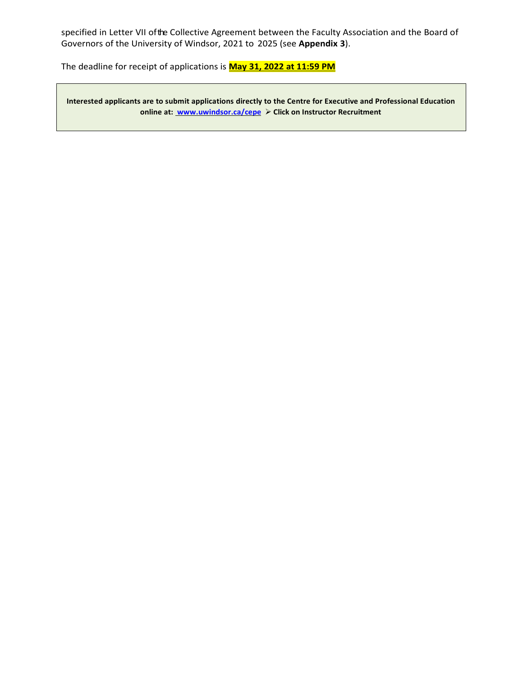specified in Letter VII ofthe Collective Agreement between the Faculty Association and the Board of Governors of the University of Windsor, 2021 to 2025 (see **Appendix 3**).

The deadline for receipt of applications is **May 31, 2022 at 11:59 PM**

**Interested applicants are to submit applications directly to the Centre for Executive and Professional Education online at: [www.uwindsor.ca/cepe](http://www.uwindsor.ca/cepe)** ➢ **Click on Instructor Recruitment**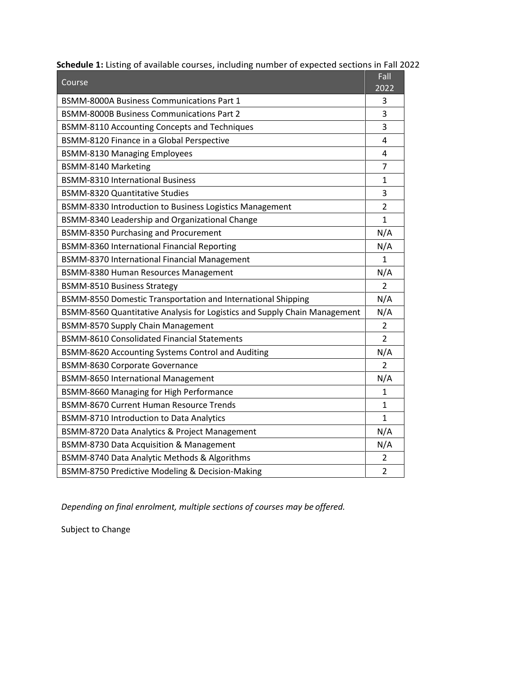| Course                                                                    | Fall<br>2022   |
|---------------------------------------------------------------------------|----------------|
| <b>BSMM-8000A Business Communications Part 1</b>                          |                |
| <b>BSMM-8000B Business Communications Part 2</b>                          |                |
| BSMM-8110 Accounting Concepts and Techniques                              |                |
| BSMM-8120 Finance in a Global Perspective                                 |                |
| <b>BSMM-8130 Managing Employees</b>                                       |                |
| BSMM-8140 Marketing                                                       |                |
| <b>BSMM-8310 International Business</b>                                   |                |
| <b>BSMM-8320 Quantitative Studies</b>                                     |                |
| BSMM-8330 Introduction to Business Logistics Management                   | $\overline{2}$ |
| BSMM-8340 Leadership and Organizational Change                            | $\mathbf{1}$   |
| <b>BSMM-8350 Purchasing and Procurement</b>                               | N/A            |
| BSMM-8360 International Financial Reporting                               | N/A            |
| BSMM-8370 International Financial Management                              | $\mathbf{1}$   |
| BSMM-8380 Human Resources Management                                      |                |
| <b>BSMM-8510 Business Strategy</b>                                        |                |
| BSMM-8550 Domestic Transportation and International Shipping              | N/A            |
| BSMM-8560 Quantitative Analysis for Logistics and Supply Chain Management |                |
| <b>BSMM-8570 Supply Chain Management</b>                                  |                |
| <b>BSMM-8610 Consolidated Financial Statements</b>                        | $\overline{2}$ |
| BSMM-8620 Accounting Systems Control and Auditing                         |                |
| BSMM-8630 Corporate Governance                                            |                |
| <b>BSMM-8650 International Management</b>                                 |                |
| BSMM-8660 Managing for High Performance                                   |                |
| <b>BSMM-8670 Current Human Resource Trends</b>                            |                |
| <b>BSMM-8710 Introduction to Data Analytics</b>                           |                |
| BSMM-8720 Data Analytics & Project Management                             |                |
| BSMM-8730 Data Acquisition & Management                                   |                |
| BSMM-8740 Data Analytic Methods & Algorithms                              |                |
| BSMM-8750 Predictive Modeling & Decision-Making                           |                |

 **Schedule 1:** Listing of available courses, including number of expected sections in Fall 2022

*Depending on final enrolment, multiple sections of courses may be offered.*

Subject to Change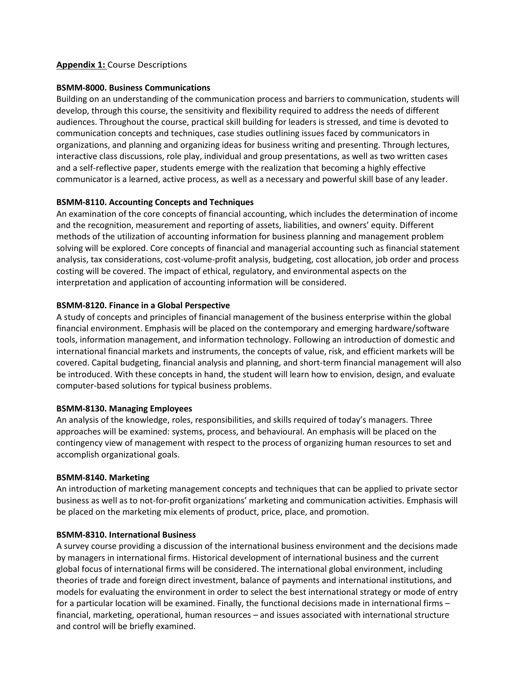## **Appendix 1:** Course Descriptions

### **BSMM-8000. Business Communications**

Building on an understanding of the communication process and barriers to communication, students will develop, through this course, the sensitivity and flexibility required to address the needs of different audiences. Throughout the course, practical skill building for leaders is stressed, and time is devoted to communication concepts and techniques, case studies outlining issues faced by communicators in organizations, and planning and organizing ideas for business writing and presenting. Through lectures, interactive class discussions, role play, individual and group presentations, as well as two written cases and a self-reflective paper, students emerge with the realization that becoming a highly effective communicator is a learned, active process, as well as a necessary and powerful skill base of any leader.

## **BSMM-8110. Accounting Concepts and Techniques**

An examination of the core concepts of financial accounting, which includes the determination of income and the recognition, measurement and reporting of assets, liabilities, and owners' equity. Different methods of the utilization of accounting information for business planning and management problem solving will be explored. Core concepts of financial and managerial accounting such as financial statement analysis, tax considerations, cost-volume-profit analysis, budgeting, cost allocation, job order and process costing will be covered. The impact of ethical, regulatory, and environmental aspects on the interpretation and application of accounting information will be considered.

## **BSMM-8120. Finance in a Global Perspective**

A study of concepts and principles of financial management of the business enterprise within the global financial environment. Emphasis will be placed on the contemporary and emerging hardware/software tools, information management, and information technology. Following an introduction of domestic and international financial markets and instruments, the concepts of value, risk, and efficient markets will be covered. Capital budgeting, financial analysis and planning, and short-term financial management will also be introduced. With these concepts in hand, the student will learn how to envision, design, and evaluate computer-based solutions for typical business problems.

## **BSMM-8130. Managing Employees**

An analysis of the knowledge, roles, responsibilities, and skills required of today's managers. Three approaches will be examined: systems, process, and behavioural. An emphasis will be placed on the contingency view of management with respect to the process of organizing human resources to set and accomplish organizational goals.

## **BSMM-8140. Marketing**

An introduction of marketing management concepts and techniques that can be applied to private sector business as well as to not-for-profit organizations' marketing and communication activities. Emphasis will be placed on the marketing mix elements of product, price, place, and promotion.

## **BSMM-8310. International Business**

A survey course providing a discussion of the international business environment and the decisions made by managers in international firms. Historical development of international business and the current global focus of international firms will be considered. The international global environment, including theories of trade and foreign direct investment, balance of payments and international institutions, and models for evaluating the environment in order to select the best international strategy or mode of entry for a particular location will be examined. Finally, the functional decisions made in international firms – financial, marketing, operational, human resources – and issues associated with international structure and control will be briefly examined.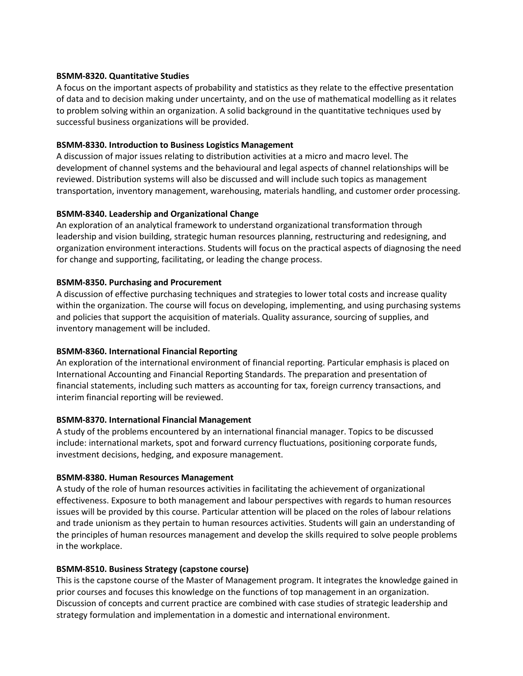### **BSMM-8320. Quantitative Studies**

A focus on the important aspects of probability and statistics as they relate to the effective presentation of data and to decision making under uncertainty, and on the use of mathematical modelling as it relates to problem solving within an organization. A solid background in the quantitative techniques used by successful business organizations will be provided.

## **BSMM-8330. Introduction to Business Logistics Management**

A discussion of major issues relating to distribution activities at a micro and macro level. The development of channel systems and the behavioural and legal aspects of channel relationships will be reviewed. Distribution systems will also be discussed and will include such topics as management transportation, inventory management, warehousing, materials handling, and customer order processing.

## **BSMM-8340. Leadership and Organizational Change**

An exploration of an analytical framework to understand organizational transformation through leadership and vision building, strategic human resources planning, restructuring and redesigning, and organization environment interactions. Students will focus on the practical aspects of diagnosing the need for change and supporting, facilitating, or leading the change process.

## **BSMM-8350. Purchasing and Procurement**

A discussion of effective purchasing techniques and strategies to lower total costs and increase quality within the organization. The course will focus on developing, implementing, and using purchasing systems and policies that support the acquisition of materials. Quality assurance, sourcing of supplies, and inventory management will be included.

## **BSMM-8360. International Financial Reporting**

An exploration of the international environment of financial reporting. Particular emphasis is placed on International Accounting and Financial Reporting Standards. The preparation and presentation of financial statements, including such matters as accounting for tax, foreign currency transactions, and interim financial reporting will be reviewed.

## **BSMM-8370. International Financial Management**

A study of the problems encountered by an international financial manager. Topics to be discussed include: international markets, spot and forward currency fluctuations, positioning corporate funds, investment decisions, hedging, and exposure management.

## **BSMM-8380. Human Resources Management**

A study of the role of human resources activities in facilitating the achievement of organizational effectiveness. Exposure to both management and labour perspectives with regards to human resources issues will be provided by this course. Particular attention will be placed on the roles of labour relations and trade unionism as they pertain to human resources activities. Students will gain an understanding of the principles of human resources management and develop the skills required to solve people problems in the workplace.

## **BSMM-8510. Business Strategy (capstone course)**

This is the capstone course of the Master of Management program. It integrates the knowledge gained in prior courses and focuses this knowledge on the functions of top management in an organization. Discussion of concepts and current practice are combined with case studies of strategic leadership and strategy formulation and implementation in a domestic and international environment.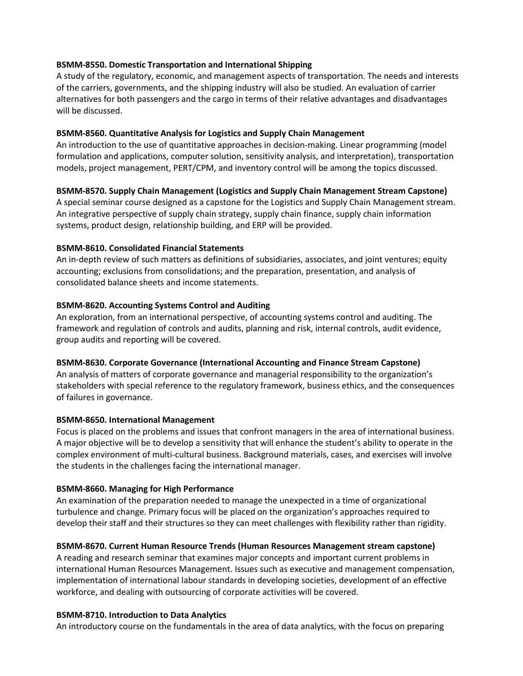## **BSMM-8550. Domestic Transportation and International Shipping**

A study of the regulatory, economic, and management aspects of transportation. The needs and interests of the carriers, governments, and the shipping industry will also be studied. An evaluation of carrier alternatives for both passengers and the cargo in terms of their relative advantages and disadvantages will be discussed.

#### **BSMM-8560. Quantitative Analysis for Logistics and Supply Chain Management**

An introduction to the use of quantitative approaches in decision-making. Linear programming (model formulation and applications, computer solution, sensitivity analysis, and interpretation), transportation models, project management, PERT/CPM, and inventory control will be among the topics discussed.

#### **BSMM-8570. Supply Chain Management (Logistics and Supply Chain Management Stream Capstone)**

A special seminar course designed as a capstone for the Logistics and Supply Chain Management stream. An integrative perspective of supply chain strategy, supply chain finance, supply chain information systems, product design, relationship building, and ERP will be provided.

#### **BSMM-8610. Consolidated Financial Statements**

An in-depth review of such matters as definitions of subsidiaries, associates, and joint ventures; equity accounting; exclusions from consolidations; and the preparation, presentation, and analysis of consolidated balance sheets and income statements.

#### **BSMM-8620. Accounting Systems Control and Auditing**

An exploration, from an international perspective, of accounting systems control and auditing. The framework and regulation of controls and audits, planning and risk, internal controls, audit evidence, group audits and reporting will be covered.

## **BSMM-8630. Corporate Governance (International Accounting and Finance Stream Capstone)**

An analysis of matters of corporate governance and managerial responsibility to the organization's stakeholders with special reference to the regulatory framework, business ethics, and the consequences of failures in governance.

#### **BSMM-8650. International Management**

Focus is placed on the problems and issues that confront managers in the area of international business. A major objective will be to develop a sensitivity that will enhance the student's ability to operate in the complex environment of multi-cultural business. Background materials, cases, and exercises will involve the students in the challenges facing the international manager.

## **BSMM-8660. Managing for High Performance**

An examination of the preparation needed to manage the unexpected in a time of organizational turbulence and change. Primary focus will be placed on the organization's approaches required to develop their staff and their structures so they can meet challenges with flexibility rather than rigidity.

## **BSMM-8670. Current Human Resource Trends (Human Resources Management stream capstone)**

A reading and research seminar that examines major concepts and important current problems in international Human Resources Management. Issues such as executive and management compensation, implementation of international labour standards in developing societies, development of an effective workforce, and dealing with outsourcing of corporate activities will be covered.

#### **BSMM-8710. Introduction to Data Analytics**

An introductory course on the fundamentals in the area of data analytics, with the focus on preparing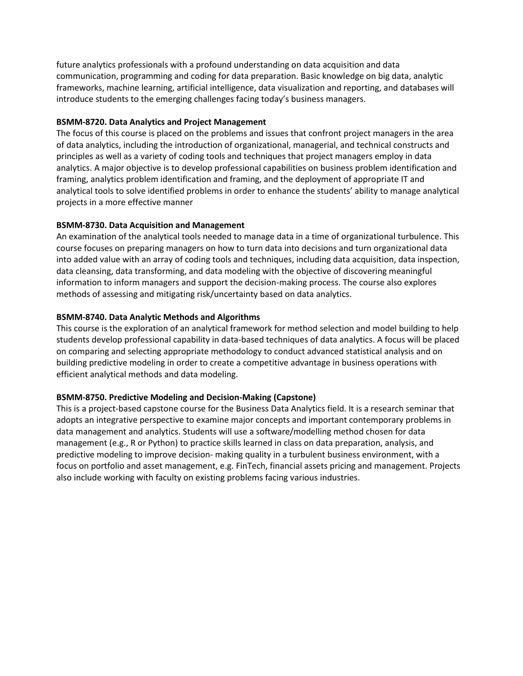future analytics professionals with a profound understanding on data acquisition and data communication, programming and coding for data preparation. Basic knowledge on big data, analytic frameworks, machine learning, artificial intelligence, data visualization and reporting, and databases will introduce students to the emerging challenges facing today's business managers.

## **BSMM-8720. Data Analytics and Project Management**

The focus of this course is placed on the problems and issues that confront project managers in the area of data analytics, including the introduction of organizational, managerial, and technical constructs and principles as well as a variety of coding tools and techniques that project managers employ in data analytics. A major objective is to develop professional capabilities on business problem identification and framing, analytics problem identification and framing, and the deployment of appropriate IT and analytical tools to solve identified problems in order to enhance the students' ability to manage analytical projects in a more effective manner

## **BSMM-8730. Data Acquisition and Management**

An examination of the analytical tools needed to manage data in a time of organizational turbulence. This course focuses on preparing managers on how to turn data into decisions and turn organizational data into added value with an array of coding tools and techniques, including data acquisition, data inspection, data cleansing, data transforming, and data modeling with the objective of discovering meaningful information to inform managers and support the decision-making process. The course also explores methods of assessing and mitigating risk/uncertainty based on data analytics.

## **BSMM-8740. Data Analytic Methods and Algorithms**

This course is the exploration of an analytical framework for method selection and model building to help students develop professional capability in data-based techniques of data analytics. A focus will be placed on comparing and selecting appropriate methodology to conduct advanced statistical analysis and on building predictive modeling in order to create a competitive advantage in business operations with efficient analytical methods and data modeling.

## **BSMM-8750. Predictive Modeling and Decision-Making (Capstone)**

This is a project-based capstone course for the Business Data Analytics field. It is a research seminar that adopts an integrative perspective to examine major concepts and important contemporary problems in data management and analytics. Students will use a software/modelling method chosen for data management (e.g., R or Python) to practice skills learned in class on data preparation, analysis, and predictive modeling to improve decision- making quality in a turbulent business environment, with a focus on portfolio and asset management, e.g. FinTech, financial assets pricing and management. Projects also include working with faculty on existing problems facing various industries.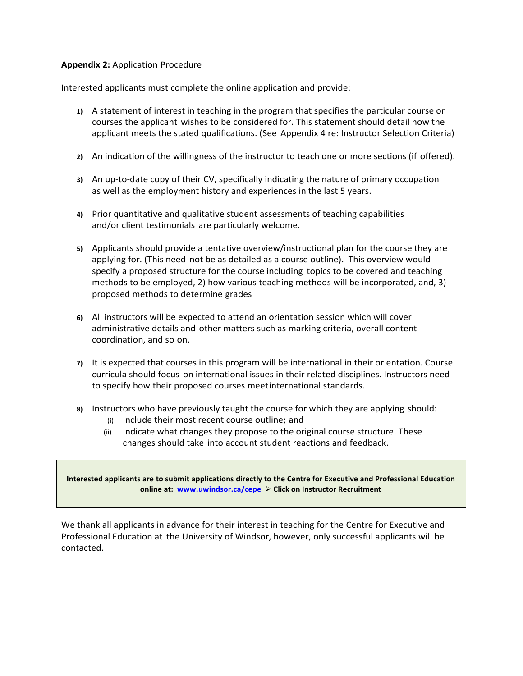### **Appendix 2:** Application Procedure

Interested applicants must complete the online application and provide:

- **1)** A statement of interest in teaching in the program that specifies the particular course or courses the applicant wishes to be considered for. This statement should detail how the applicant meets the stated qualifications. (See Appendix 4 re: Instructor Selection Criteria)
- **2)** An indication of the willingness of the instructor to teach one or more sections (if offered).
- **3)** An up-to-date copy of their CV, specifically indicating the nature of primary occupation as well as the employment history and experiences in the last 5 years.
- **4)** Prior quantitative and qualitative student assessments of teaching capabilities and/or client testimonials are particularly welcome.
- **5)** Applicants should provide a tentative overview/instructional plan for the course they are applying for. (This need not be as detailed as a course outline). This overview would specify a proposed structure for the course including topics to be covered and teaching methods to be employed, 2) how various teaching methods will be incorporated, and, 3) proposed methods to determine grades
- **6)** All instructors will be expected to attend an orientation session which will cover administrative details and other matters such as marking criteria, overall content coordination, and so on.
- **7)** It is expected that courses in this program will be international in their orientation. Course curricula should focus on international issues in their related disciplines. Instructors need to specify how their proposed courses meetinternational standards.
- **8)** Instructors who have previously taught the course for which they are applying should:
	- (i) Include their most recent course outline; and
	- (ii) Indicate what changes they propose to the original course structure. These changes should take into account student reactions and feedback.

**Interested applicants are to submit applications directly to the Centre for Executive and Professional Education online at: [www.uwindsor.ca/cepe](http://www.uwindsor.ca/cepe)** ➢ **Click on Instructor Recruitment**

We thank all applicants in advance for their interest in teaching for the Centre for Executive and Professional Education at the University of Windsor, however, only successful applicants will be contacted.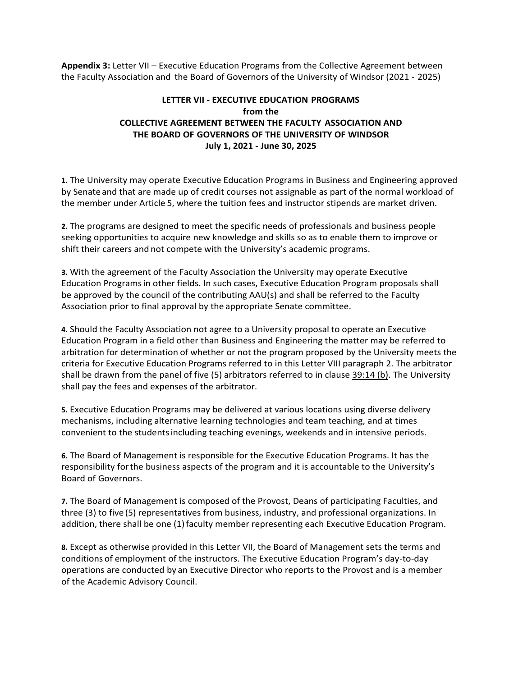**Appendix 3:** Letter VII – Executive Education Programs from the Collective Agreement between the Faculty Association and the Board of Governors of the University of Windsor (2021 - 2025)

# **LETTER VII - EXECUTIVE EDUCATION PROGRAMS from the COLLECTIVE AGREEMENT BETWEEN THE FACULTY ASSOCIATION AND THE BOARD OF GOVERNORS OF THE UNIVERSITY OF WINDSOR July 1, 2021 - June 30, 2025**

**1.** The University may operate Executive Education Programs in Business and Engineering approved by Senate and that are made up of credit courses not assignable as part of the normal workload of the member under Article 5, where the tuition fees and instructor stipends are market driven.

**2.** The programs are designed to meet the specific needs of professionals and business people seeking opportunities to acquire new knowledge and skills so as to enable them to improve or shift their careers and not compete with the University's academic programs.

**3.** With the agreement of the Faculty Association the University may operate Executive Education Programsin other fields. In such cases, Executive Education Program proposals shall be approved by the council of the contributing AAU(s) and shall be referred to the Faculty Association prior to final approval by the appropriate Senate committee.

**4.** Should the Faculty Association not agree to a University proposal to operate an Executive Education Program in a field other than Business and Engineering the matter may be referred to arbitration for determination of whether or not the program proposed by the University meets the criteria for Executive Education Programs referred to in this Letter VIII paragraph 2. The arbitrator shall be drawn from the panel of five (5) arbitrators referred to in clause 39:14 (b). The University shall pay the fees and expenses of the arbitrator.

**5.** Executive Education Programs may be delivered at various locations using diverse delivery mechanisms, including alternative learning technologies and team teaching, and at times convenient to the studentsincluding teaching evenings, weekends and in intensive periods.

**6.** The Board of Management is responsible for the Executive Education Programs. It has the responsibility forthe business aspects of the program and it is accountable to the University's Board of Governors.

**7.** The Board of Management is composed of the Provost, Deans of participating Faculties, and three (3) to five (5) representatives from business, industry, and professional organizations. In addition, there shall be one (1) faculty member representing each Executive Education Program.

**8.** Except as otherwise provided in this Letter VII, the Board of Management sets the terms and conditions of employment of the instructors. The Executive Education Program's day-to-day operations are conducted by an Executive Director who reports to the Provost and is a member of the Academic Advisory Council.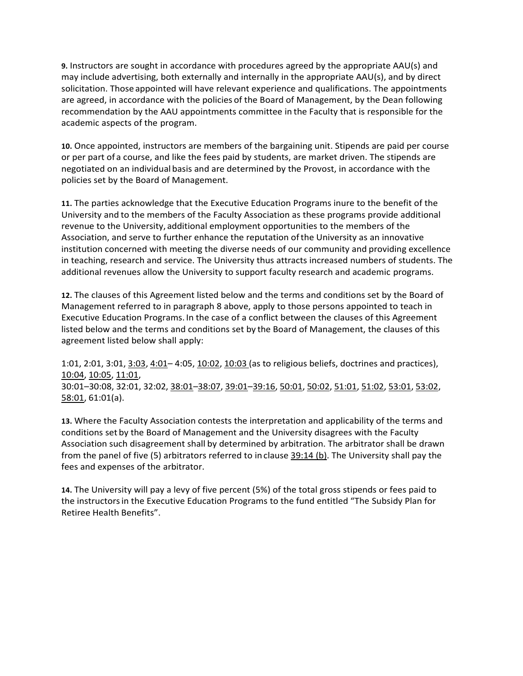**9.** Instructors are sought in accordance with procedures agreed by the appropriate AAU(s) and may include advertising, both externally and internally in the appropriate AAU(s), and by direct solicitation. Those appointed will have relevant experience and qualifications. The appointments are agreed, in accordance with the policies of the Board of Management, by the Dean following recommendation by the AAU appointments committee in the Faculty that is responsible for the academic aspects of the program.

**10.** Once appointed, instructors are members of the bargaining unit. Stipends are paid per course or per part of a course, and like the fees paid by students, are market driven. The stipends are negotiated on an individual basis and are determined by the Provost, in accordance with the policies set by the Board of Management.

**11.** The parties acknowledge that the Executive Education Programs inure to the benefit of the University and to the members of the Faculty Association as these programs provide additional revenue to the University, additional employment opportunities to the members of the Association, and serve to further enhance the reputation ofthe University as an innovative institution concerned with meeting the diverse needs of our community and providing excellence in teaching, research and service. The University thus attracts increased numbers of students. The additional revenues allow the University to support faculty research and academic programs.

**12.** The clauses of this Agreement listed below and the terms and conditions set by the Board of Management referred to in paragraph 8 above, apply to those persons appointed to teach in Executive Education Programs. In the case of a conflict between the clauses of this Agreement listed below and the terms and conditions set by the Board of Management, the clauses of this agreement listed below shall apply:

1:01, 2:01, 3:01, 3:03, 4:01– 4:05, 10:02, 10:03 (as to religious beliefs, doctrines and practices), 10:04, 10:05, 11:01, 30:01–30:08, 32:01, 32:02, 38:01–38:07, 39:01–39:16, 50:01, 50:02, 51:01, 51:02, 53:01, 53:02, 58:01, 61:01(a).

**13.** Where the Faculty Association contests the interpretation and applicability of the terms and conditions set by the Board of Management and the University disagrees with the Faculty Association such disagreement shall by determined by arbitration. The arbitrator shall be drawn from the panel of five (5) arbitrators referred to in clause  $39:14$  (b). The University shall pay the fees and expenses of the arbitrator.

**14.** The University will pay a levy of five percent (5%) of the total gross stipends or fees paid to the instructorsin the Executive Education Programs to the fund entitled "The Subsidy Plan for Retiree Health Benefits".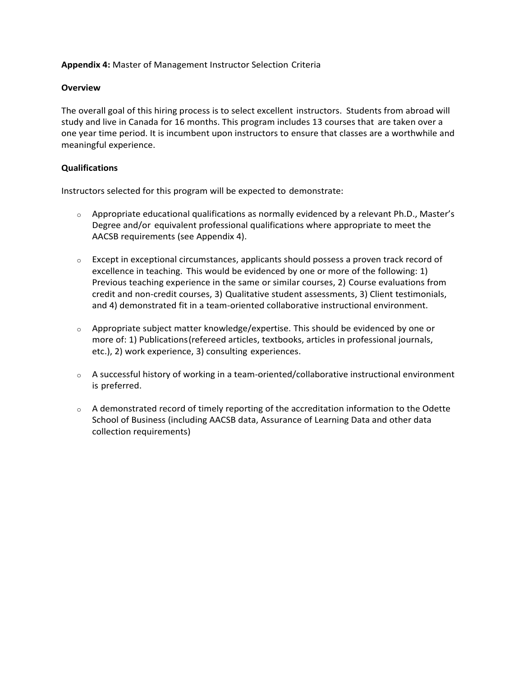**Appendix 4:** Master of Management Instructor Selection Criteria

## **Overview**

The overall goal of this hiring process is to select excellent instructors. Students from abroad will study and live in Canada for 16 months. This program includes 13 courses that are taken over a one year time period. It is incumbent upon instructors to ensure that classes are a worthwhile and meaningful experience.

## **Qualifications**

Instructors selected for this program will be expected to demonstrate:

- $\circ$  Appropriate educational qualifications as normally evidenced by a relevant Ph.D., Master's Degree and/or equivalent professional qualifications where appropriate to meet the AACSB requirements (see Appendix 4).
- $\circ$  Except in exceptional circumstances, applicants should possess a proven track record of excellence in teaching. This would be evidenced by one or more of the following: 1) Previous teaching experience in the same or similar courses, 2) Course evaluations from credit and non-credit courses, 3) Qualitative student assessments, 3) Client testimonials, and 4) demonstrated fit in a team-oriented collaborative instructional environment.
- o Appropriate subject matter knowledge/expertise. This should be evidenced by one or more of: 1) Publications(refereed articles, textbooks, articles in professional journals, etc.), 2) work experience, 3) consulting experiences.
- $\circ$  A successful history of working in a team-oriented/collaborative instructional environment is preferred.
- $\circ$  A demonstrated record of timely reporting of the accreditation information to the Odette School of Business (including AACSB data, Assurance of Learning Data and other data collection requirements)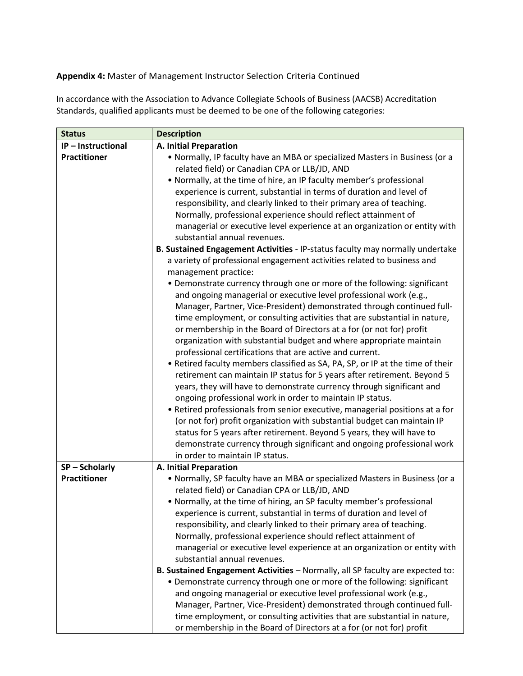# **Appendix 4:** Master of Management Instructor Selection Criteria Continued

In accordance with the Association to Advance Collegiate Schools of Business (AACSB) Accreditation Standards, qualified applicants must be deemed to be one of the following categories:

| <b>Status</b>       | <b>Description</b>                                                                                                                          |
|---------------------|---------------------------------------------------------------------------------------------------------------------------------------------|
| IP-Instructional    | A. Initial Preparation                                                                                                                      |
| <b>Practitioner</b> | • Normally, IP faculty have an MBA or specialized Masters in Business (or a                                                                 |
|                     | related field) or Canadian CPA or LLB/JD, AND                                                                                               |
|                     | • Normally, at the time of hire, an IP faculty member's professional                                                                        |
|                     | experience is current, substantial in terms of duration and level of                                                                        |
|                     | responsibility, and clearly linked to their primary area of teaching.                                                                       |
|                     | Normally, professional experience should reflect attainment of                                                                              |
|                     | managerial or executive level experience at an organization or entity with                                                                  |
|                     | substantial annual revenues.                                                                                                                |
|                     | B. Sustained Engagement Activities - IP-status faculty may normally undertake                                                               |
|                     | a variety of professional engagement activities related to business and                                                                     |
|                     | management practice:                                                                                                                        |
|                     | • Demonstrate currency through one or more of the following: significant                                                                    |
|                     | and ongoing managerial or executive level professional work (e.g.,                                                                          |
|                     | Manager, Partner, Vice-President) demonstrated through continued full-                                                                      |
|                     | time employment, or consulting activities that are substantial in nature,                                                                   |
|                     | or membership in the Board of Directors at a for (or not for) profit<br>organization with substantial budget and where appropriate maintain |
|                     | professional certifications that are active and current.                                                                                    |
|                     | • Retired faculty members classified as SA, PA, SP, or IP at the time of their                                                              |
|                     | retirement can maintain IP status for 5 years after retirement. Beyond 5                                                                    |
|                     | years, they will have to demonstrate currency through significant and                                                                       |
|                     | ongoing professional work in order to maintain IP status.                                                                                   |
|                     | • Retired professionals from senior executive, managerial positions at a for                                                                |
|                     | (or not for) profit organization with substantial budget can maintain IP                                                                    |
|                     | status for 5 years after retirement. Beyond 5 years, they will have to                                                                      |
|                     | demonstrate currency through significant and ongoing professional work                                                                      |
|                     | in order to maintain IP status.                                                                                                             |
| SP-Scholarly        | A. Initial Preparation                                                                                                                      |
| <b>Practitioner</b> | • Normally, SP faculty have an MBA or specialized Masters in Business (or a                                                                 |
|                     | related field) or Canadian CPA or LLB/JD, AND                                                                                               |
|                     | • Normally, at the time of hiring, an SP faculty member's professional                                                                      |
|                     | experience is current, substantial in terms of duration and level of                                                                        |
|                     | responsibility, and clearly linked to their primary area of teaching.                                                                       |
|                     | Normally, professional experience should reflect attainment of                                                                              |
|                     | managerial or executive level experience at an organization or entity with                                                                  |
|                     | substantial annual revenues.                                                                                                                |
|                     | B. Sustained Engagement Activities - Normally, all SP faculty are expected to:                                                              |
|                     | • Demonstrate currency through one or more of the following: significant                                                                    |
|                     | and ongoing managerial or executive level professional work (e.g.,                                                                          |
|                     | Manager, Partner, Vice-President) demonstrated through continued full-                                                                      |
|                     | time employment, or consulting activities that are substantial in nature,                                                                   |
|                     | or membership in the Board of Directors at a for (or not for) profit                                                                        |